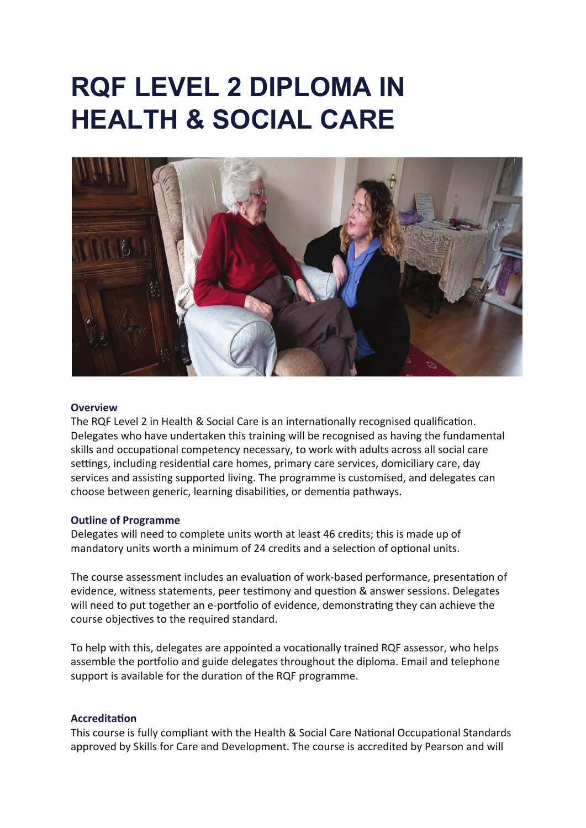# **RQF LEVEL 2 DIPLOMA IN HEALTH & SOCIAL CARE**



#### **Overview**

The RQF Level 2 in Health & Social Care is an internationally recognised qualification. Delegates who have undertaken this training will be recognised as having the fundamental skills and occupational competency necessary, to work with adults across all social care settings, including residential care homes, primary care services, domiciliary care, day services and assisting supported living. The programme is customised, and delegates can choose between generic, learning disabilities, or dementia pathways.

#### **Outline of Programme**

Delegates will need to complete units worth at least 46 credits; this is made up of mandatory units worth a minimum of 24 credits and a selection of optional units.

The course assessment includes an evaluation of work-based performance, presentation of evidence, witness statements, peer testimony and question & answer sessions. Delegates will need to put together an e-portfolio of evidence, demonstrating they can achieve the course objectives to the required standard.

To help with this, delegates are appointed a vocationally trained RQF assessor, who helps assemble the portfolio and guide delegates throughout the diploma. Email and telephone support is available for the duration of the RQF programme.

#### **Accreditation**

This course is fully compliant with the Health & Social Care National Occupational Standards approved by Skills for Care and Development. The course is accredited by Pearson and will